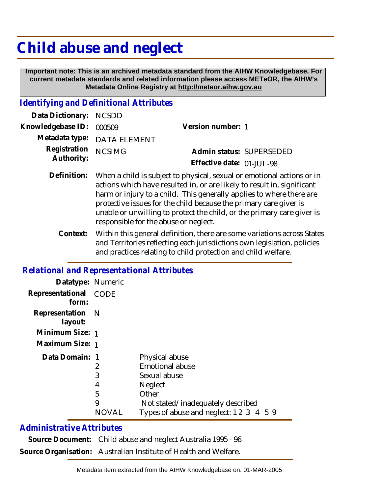## **Child abuse and neglect**

 **Important note: This is an archived metadata standard from the AIHW Knowledgebase. For current metadata standards and related information please access METeOR, the AIHW's Metadata Online Registry at http://meteor.aihw.gov.au**

## *Identifying and Definitional Attributes*

| Data Dictionary: NCSDD            |                             |                              |  |
|-----------------------------------|-----------------------------|------------------------------|--|
| Knowledgebase ID: 000509          |                             | Version number: 1            |  |
|                                   | Metadata type: DATA ELEMENT |                              |  |
| Registration NCSIMG<br>Authority: |                             | Admin status: SUPERSEDED     |  |
|                                   |                             | Effective date: $01$ -JUL-98 |  |
|                                   |                             |                              |  |

- Definition: When a child is subject to physical, sexual or emotional actions or in actions which have resulted in, or are likely to result in, significant harm or injury to a child. This generally applies to where there are protective issues for the child because the primary care giver is unable or unwilling to protect the child, or the primary care giver is responsible for the abuse or neglect.
	- Within this general definition, there are some variations across States and Territories reflecting each jurisdictions own legislation, policies and practices relating to child protection and child welfare. **Context:**

## *Relational and Representational Attributes*

| Datatype: Numeric           |             |                                         |
|-----------------------------|-------------|-----------------------------------------|
| Representational            | <b>CODE</b> |                                         |
| form:                       |             |                                         |
| Representation N<br>layout: |             |                                         |
| Minimum Size: 1             |             |                                         |
| Maximum Size: 1             |             |                                         |
| Data Domain: 1              |             | Physical abuse                          |
|                             | 2           | <b>Emotional abuse</b>                  |
|                             | 3           | Sexual abuse                            |
|                             | 4           | <b>Neglect</b>                          |
|                             | 5           | Other                                   |
|                             | 9           | Not stated/inadequately described       |
|                             | NOVAL       | Types of abuse and neglect: 1 2 3 4 5 9 |

## *Administrative Attributes*

| Source Document: Child abuse and neglect Australia 1995 - 96     |
|------------------------------------------------------------------|
| Source Organisation: Australian Institute of Health and Welfare. |